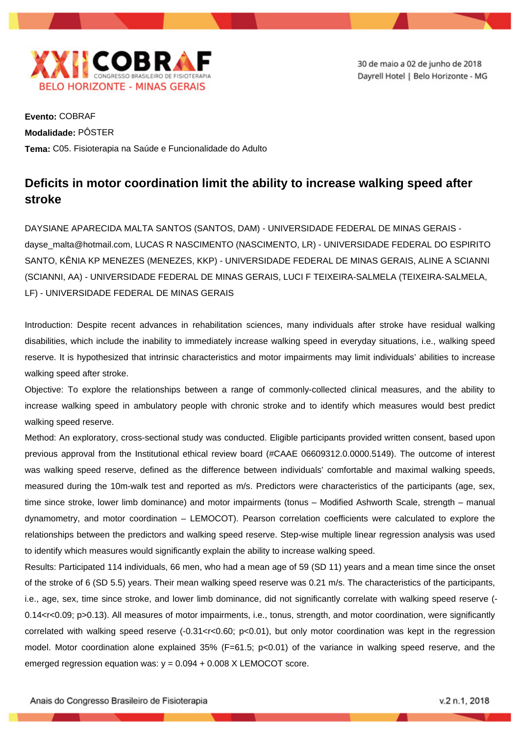

30 de maio a 02 de junho de 2018 Dayrell Hotel | Belo Horizonte - MG

**Evento:** COBRAF **Modalidade:** PÔSTER **Tema:** C05. Fisioterapia na Saúde e Funcionalidade do Adulto

## **Deficits in motor coordination limit the ability to increase walking speed after stroke**

DAYSIANE APARECIDA MALTA SANTOS (SANTOS, DAM) - UNIVERSIDADE FEDERAL DE MINAS GERAIS dayse\_malta@hotmail.com, LUCAS R NASCIMENTO (NASCIMENTO, LR) - UNIVERSIDADE FEDERAL DO ESPIRITO SANTO, KÊNIA KP MENEZES (MENEZES, KKP) - UNIVERSIDADE FEDERAL DE MINAS GERAIS, ALINE A SCIANNI (SCIANNI, AA) - UNIVERSIDADE FEDERAL DE MINAS GERAIS, LUCI F TEIXEIRA-SALMELA (TEIXEIRA-SALMELA, LF) - UNIVERSIDADE FEDERAL DE MINAS GERAIS

Introduction: Despite recent advances in rehabilitation sciences, many individuals after stroke have residual walking disabilities, which include the inability to immediately increase walking speed in everyday situations, i.e., walking speed reserve. It is hypothesized that intrinsic characteristics and motor impairments may limit individuals' abilities to increase walking speed after stroke.

Objective: To explore the relationships between a range of commonly-collected clinical measures, and the ability to increase walking speed in ambulatory people with chronic stroke and to identify which measures would best predict walking speed reserve.

Method: An exploratory, cross-sectional study was conducted. Eligible participants provided written consent, based upon previous approval from the Institutional ethical review board (#CAAE 06609312.0.0000.5149). The outcome of interest was walking speed reserve, defined as the difference between individuals' comfortable and maximal walking speeds, measured during the 10m-walk test and reported as m/s. Predictors were characteristics of the participants (age, sex, time since stroke, lower limb dominance) and motor impairments (tonus – Modified Ashworth Scale, strength – manual dynamometry, and motor coordination – LEMOCOT). Pearson correlation coefficients were calculated to explore the relationships between the predictors and walking speed reserve. Step-wise multiple linear regression analysis was used to identify which measures would significantly explain the ability to increase walking speed.

Results: Participated 114 individuals, 66 men, who had a mean age of 59 (SD 11) years and a mean time since the onset of the stroke of 6 (SD 5.5) years. Their mean walking speed reserve was 0.21 m/s. The characteristics of the participants, i.e., age, sex, time since stroke, and lower limb dominance, did not significantly correlate with walking speed reserve (- 0.14<r<0.09; p>0.13). All measures of motor impairments, i.e., tonus, strength, and motor coordination, were significantly correlated with walking speed reserve (-0.31<r<0.60; p<0.01), but only motor coordination was kept in the regression model. Motor coordination alone explained 35% (F=61.5; p<0.01) of the variance in walking speed reserve, and the emerged regression equation was:  $y = 0.094 + 0.008$  X LEMOCOT score.